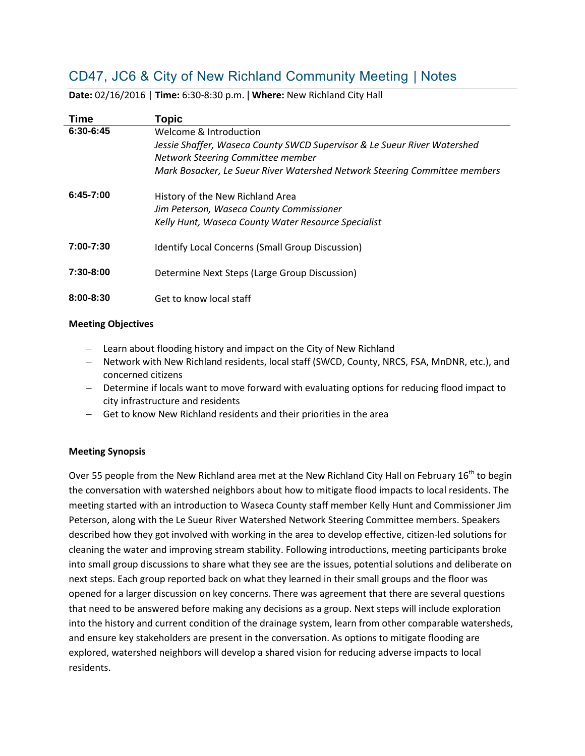# CD47, JC6 & City of New Richland Community Meeting | Notes

| Time          | <b>Topic</b>                                                                                                                            |
|---------------|-----------------------------------------------------------------------------------------------------------------------------------------|
| $6:30-6:45$   | Welcome & Introduction<br>Jessie Shaffer, Waseca County SWCD Supervisor & Le Sueur River Watershed<br>Network Steering Committee member |
|               | Mark Bosacker, Le Sueur River Watershed Network Steering Committee members                                                              |
| $6:45-7:00$   | History of the New Richland Area<br>Jim Peterson, Waseca County Commissioner<br>Kelly Hunt, Waseca County Water Resource Specialist     |
| 7:00-7:30     | <b>Identify Local Concerns (Small Group Discussion)</b>                                                                                 |
| $7:30-8:00$   | Determine Next Steps (Large Group Discussion)                                                                                           |
| $8:00 - 8:30$ | Get to know local staff                                                                                                                 |

**Date:** 02/16/2016 | **Time:** 6:30-8:30 p.m. | **Where:** New Richland City Hall

#### **Meeting Objectives**

- Learn about flooding history and impact on the City of New Richland
- Network with New Richland residents, local staff (SWCD, County, NRCS, FSA, MnDNR, etc.), and concerned citizens
- Determine if locals want to move forward with evaluating options for reducing flood impact to city infrastructure and residents
- Get to know New Richland residents and their priorities in the area

### **Meeting Synopsis**

Over 55 people from the New Richland area met at the New Richland City Hall on February 16<sup>th</sup> to begin the conversation with watershed neighbors about how to mitigate flood impacts to local residents. The meeting started with an introduction to Waseca County staff member Kelly Hunt and Commissioner Jim Peterson, along with the Le Sueur River Watershed Network Steering Committee members. Speakers described how they got involved with working in the area to develop effective, citizen-led solutions for cleaning the water and improving stream stability. Following introductions, meeting participants broke into small group discussions to share what they see are the issues, potential solutions and deliberate on next steps. Each group reported back on what they learned in their small groups and the floor was opened for a larger discussion on key concerns. There was agreement that there are several questions that need to be answered before making any decisions as a group. Next steps will include exploration into the history and current condition of the drainage system, learn from other comparable watersheds, and ensure key stakeholders are present in the conversation. As options to mitigate flooding are explored, watershed neighbors will develop a shared vision for reducing adverse impacts to local residents.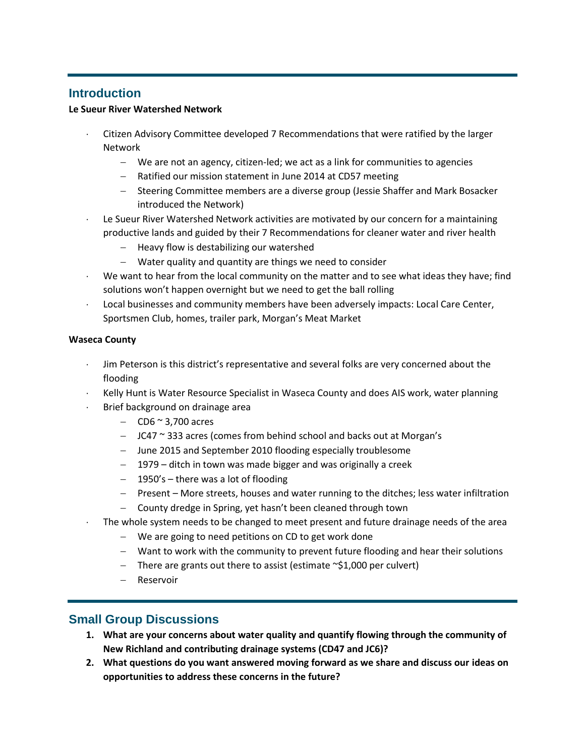## **Introduction**

### **Le Sueur River Watershed Network**

- Citizen Advisory Committee developed 7 Recommendations that were ratified by the larger Network
	- We are not an agency, citizen-led; we act as a link for communities to agencies
	- Ratified our mission statement in June 2014 at CD57 meeting
	- Steering Committee members are a diverse group (Jessie Shaffer and Mark Bosacker introduced the Network)
- Le Sueur River Watershed Network activities are motivated by our concern for a maintaining productive lands and guided by their 7 Recommendations for cleaner water and river health
	- Heavy flow is destabilizing our watershed
	- Water quality and quantity are things we need to consider
- We want to hear from the local community on the matter and to see what ideas they have; find solutions won't happen overnight but we need to get the ball rolling
- Local businesses and community members have been adversely impacts: Local Care Center, Sportsmen Club, homes, trailer park, Morgan's Meat Market

### **Waseca County**

- Jim Peterson is this district's representative and several folks are very concerned about the flooding
- Kelly Hunt is Water Resource Specialist in Waseca County and does AIS work, water planning
- Brief background on drainage area
	- $-$  CD6  $\approx$  3,700 acres
	- $-$  JC47  $\sim$  333 acres (comes from behind school and backs out at Morgan's
	- June 2015 and September 2010 flooding especially troublesome
	- 1979 ditch in town was made bigger and was originally a creek
	- $-$  1950's there was a lot of flooding
	- Present More streets, houses and water running to the ditches; less water infiltration
	- County dredge in Spring, yet hasn't been cleaned through town
- The whole system needs to be changed to meet present and future drainage needs of the area
	- We are going to need petitions on CD to get work done
	- Want to work with the community to prevent future flooding and hear their solutions
	- $-$  There are grants out there to assist (estimate  $\sim$ \$1,000 per culvert)
	- Reservoir

### **Small Group Discussions**

- **1. What are your concerns about water quality and quantify flowing through the community of New Richland and contributing drainage systems (CD47 and JC6)?**
- **2. What questions do you want answered moving forward as we share and discuss our ideas on opportunities to address these concerns in the future?**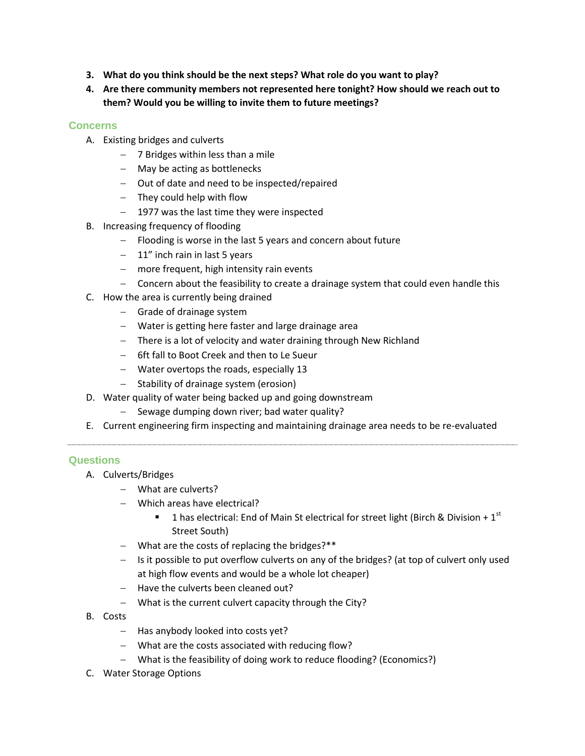- **3. What do you think should be the next steps? What role do you want to play?**
- **4. Are there community members not represented here tonight? How should we reach out to them? Would you be willing to invite them to future meetings?**

### **Concerns**

- A. Existing bridges and culverts
	- $-$  7 Bridges within less than a mile
	- May be acting as bottlenecks
	- Out of date and need to be inspected/repaired
	- $-$  They could help with flow
	- $-$  1977 was the last time they were inspected
- B. Increasing frequency of flooding
	- Flooding is worse in the last 5 years and concern about future
	- $-11$ " inch rain in last 5 years
	- $-$  more frequent, high intensity rain events
	- Concern about the feasibility to create a drainage system that could even handle this
- C. How the area is currently being drained
	- $-$  Grade of drainage system
	- Water is getting here faster and large drainage area
	- There is a lot of velocity and water draining through New Richland
	- 6ft fall to Boot Creek and then to Le Sueur
	- Water overtops the roads, especially 13
	- $-$  Stability of drainage system (erosion)
- D. Water quality of water being backed up and going downstream
	- $-$  Sewage dumping down river; bad water quality?
- E. Current engineering firm inspecting and maintaining drainage area needs to be re-evaluated

### **Questions**

- A. Culverts/Bridges
	- What are culverts?
	- Which areas have electrical?
		- 1 has electrical: End of Main St electrical for street light (Birch & Division +  $1<sup>st</sup>$ Street South)
	- What are the costs of replacing the bridges?\*\*
	- Is it possible to put overflow culverts on any of the bridges? (at top of culvert only used at high flow events and would be a whole lot cheaper)
	- $-$  Have the culverts been cleaned out?
	- What is the current culvert capacity through the City?
- B. Costs
	- $-$  Has anybody looked into costs yet?
	- What are the costs associated with reducing flow?
	- What is the feasibility of doing work to reduce flooding? (Economics?)
- C. Water Storage Options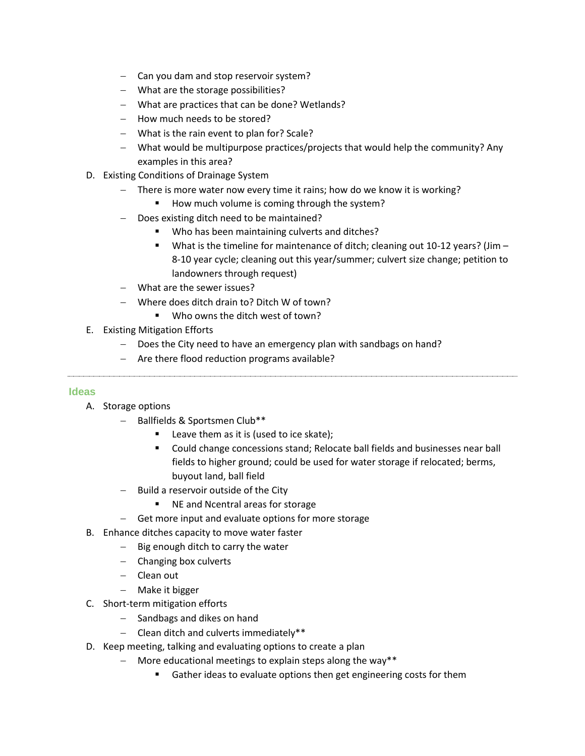- Can you dam and stop reservoir system?
- What are the storage possibilities?
- What are practices that can be done? Wetlands?
- How much needs to be stored?
- What is the rain event to plan for? Scale?
- What would be multipurpose practices/projects that would help the community? Any examples in this area?
- D. Existing Conditions of Drainage System
	- There is more water now every time it rains; how do we know it is working?
		- How much volume is coming through the system?
	- Does existing ditch need to be maintained?
		- Who has been maintaining culverts and ditches?
		- What is the timeline for maintenance of ditch; cleaning out 10-12 years? (Jim 8-10 year cycle; cleaning out this year/summer; culvert size change; petition to landowners through request)
	- What are the sewer issues?
	- Where does ditch drain to? Ditch W of town?
		- Who owns the ditch west of town?
- E. Existing Mitigation Efforts
	- Does the City need to have an emergency plan with sandbags on hand?
	- Are there flood reduction programs available?

### **Ideas**

- A. Storage options
	- Ballfields & Sportsmen Club\*\*
		- Leave them as it is (used to ice skate);
		- Could change concessions stand; Relocate ball fields and businesses near ball fields to higher ground; could be used for water storage if relocated; berms, buyout land, ball field
	- $-$  Build a reservoir outside of the City
		- NE and Ncentral areas for storage
	- Get more input and evaluate options for more storage
- B. Enhance ditches capacity to move water faster
	- $-$  Big enough ditch to carry the water
		- Changing box culverts
		- Clean out
		- Make it bigger
- C. Short-term mitigation efforts
	- Sandbags and dikes on hand
	- $-$  Clean ditch and culverts immediately\*\*
- D. Keep meeting, talking and evaluating options to create a plan
	- $-$  More educational meetings to explain steps along the way\*\*
		- Gather ideas to evaluate options then get engineering costs for them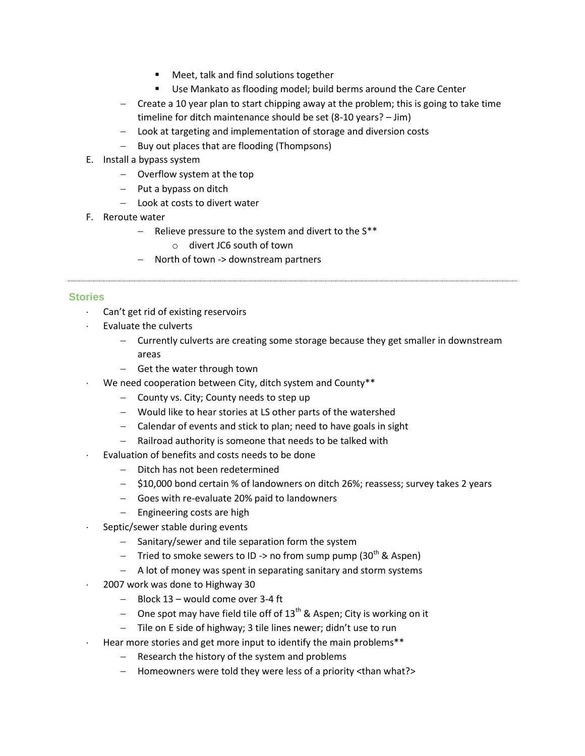- **Meet, talk and find solutions together**
- **Use Mankato as flooding model; build berms around the Care Center**
- $\sim$  Create a 10 year plan to start chipping away at the problem; this is going to take time timeline for ditch maintenance should be set (8-10 years? – Jim)
- Look at targeting and implementation of storage and diversion costs
- Buy out places that are flooding (Thompsons)
- E. Install a bypass system
	- Overflow system at the top
	- $-$  Put a bypass on ditch
	- $-$  Look at costs to divert water
- F. Reroute water
	- Relieve pressure to the system and divert to the  $S^{**}$ 
		- o divert JC6 south of town
	- North of town -> downstream partners

#### **Stories**

- Can't get rid of existing reservoirs
- Evaluate the culverts
	- Currently culverts are creating some storage because they get smaller in downstream areas
	- Get the water through town
- We need cooperation between City, ditch system and County\*\*
	- County vs. City; County needs to step up
	- Would like to hear stories at LS other parts of the watershed
	- Calendar of events and stick to plan; need to have goals in sight
	- Railroad authority is someone that needs to be talked with
	- Evaluation of benefits and costs needs to be done
		- Ditch has not been redetermined
		- \$10,000 bond certain % of landowners on ditch 26%; reassess; survey takes 2 years
		- Goes with re-evaluate 20% paid to landowners
		- Engineering costs are high
- Septic/sewer stable during events
	- $-$  Sanitary/sewer and tile separation form the system
	- Tried to smoke sewers to ID -> no from sump pump (30<sup>th</sup> & Aspen)
	- A lot of money was spent in separating sanitary and storm systems
- 2007 work was done to Highway 30
	- $-$  Block 13 would come over 3-4 ft
	- One spot may have field tile off of  $13<sup>th</sup>$  & Aspen; City is working on it
	- Tile on E side of highway; 3 tile lines newer; didn't use to run
- Hear more stories and get more input to identify the main problems\*\*
	- $-$  Research the history of the system and problems
	- Homeowners were told they were less of a priority <than what?>